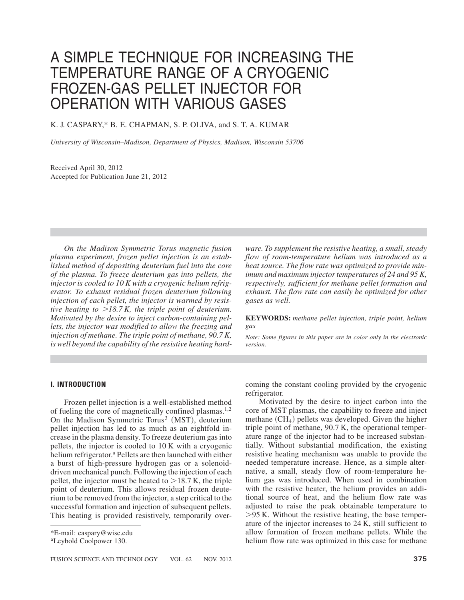# A SIMPLE TECHNIQUE FOR INCREASING THE TEMPERATURE RANGE OF A CRYOGENIC FROZEN-GAS PELLET INJECTOR FOR OPERATION WITH VARIOUS GASES

## K. J. CASPARY,\* B. E. CHAPMAN, S. P. OLIVA, and S. T. A. KUMAR

*University of Wisconsin–Madison, Department of Physics, Madison, Wisconsin 53706*

Received April 30, 2012 Accepted for Publication June 21, 2012

*On the Madison Symmetric Torus magnetic fusion plasma experiment, frozen pellet injection is an established method of depositing deuterium fuel into the core of the plasma. To freeze deuterium gas into pellets, the injector is cooled to 10 K with a cryogenic helium refrigerator. To exhaust residual frozen deuterium following injection of each pellet, the injector is warmed by resistive heating to* -*18.7 K, the triple point of deuterium. Motivated by the desire to inject carbon-containing pellets, the injector was modified to allow the freezing and injection of methane. The triple point of methane, 90.7 K, is well beyond the capability of the resistive heating hard-*

*ware. To supplement the resistive heating, a small, steady flow of room-temperature helium was introduced as a heat source. The flow rate was optimized to provide minimum and maximum injector temperatures of 24 and 95 K, respectively, sufficient for methane pellet formation and exhaust. The flow rate can easily be optimized for other gases as well.*

**KEYWORDS:** *methane pellet injection, triple point, helium gas*

*Note: Some figures in this paper are in color only in the electronic version.*

## **I. INTRODUCTION**

Frozen pellet injection is a well-established method of fueling the core of magnetically confined plasmas.<sup>1,2</sup> On the Madison Symmetric Torus<sup>3</sup> (MST), deuterium pellet injection has led to as much as an eightfold increase in the plasma density. To freeze deuterium gas into pellets, the injector is cooled to 10 K with a cryogenic helium refrigerator.<sup>a</sup> Pellets are then launched with either a burst of high-pressure hydrogen gas or a solenoiddriven mechanical punch. Following the injection of each pellet, the injector must be heated to  $>18.7$  K, the triple point of deuterium. This allows residual frozen deuterium to be removed from the injector, a step critical to the successful formation and injection of subsequent pellets. This heating is provided resistively, temporarily over-

\*E-mail: caspary@wisc.edu

aLeybold Coolpower 130.

coming the constant cooling provided by the cryogenic refrigerator.

Motivated by the desire to inject carbon into the core of MST plasmas, the capability to freeze and inject methane  $(CH_4)$  pellets was developed. Given the higher triple point of methane, 90.7 K, the operational temperature range of the injector had to be increased substantially. Without substantial modification, the existing resistive heating mechanism was unable to provide the needed temperature increase. Hence, as a simple alternative, a small, steady flow of room-temperature helium gas was introduced. When used in combination with the resistive heater, the helium provides an additional source of heat, and the helium flow rate was adjusted to raise the peak obtainable temperature to  $>95$  K. Without the resistive heating, the base temperature of the injector increases to 24 K, still sufficient to allow formation of frozen methane pellets. While the helium flow rate was optimized in this case for methane

FUSION SCIENCE AND TECHNOLOGY VOL. 62 NOV. 2012 **375**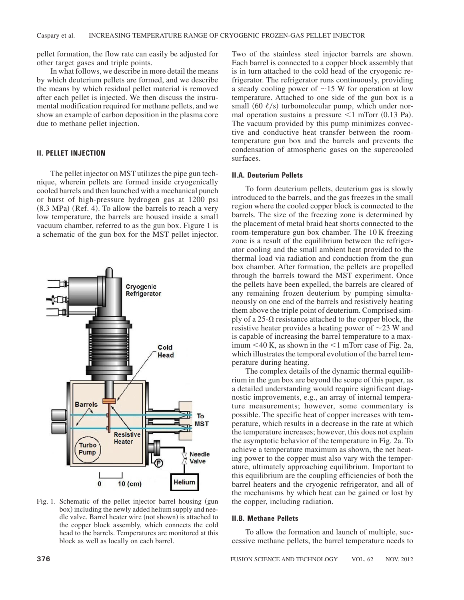pellet formation, the flow rate can easily be adjusted for other target gases and triple points.

In what follows, we describe in more detail the means by which deuterium pellets are formed, and we describe the means by which residual pellet material is removed after each pellet is injected. We then discuss the instrumental modification required for methane pellets, and we show an example of carbon deposition in the plasma core due to methane pellet injection.

## **II. PELLET INJECTION**

The pellet injector on MST utilizes the pipe gun technique, wherein pellets are formed inside cryogenically cooled barrels and then launched with a mechanical punch or burst of high-pressure hydrogen gas at 1200 psi  $(8.3 \text{ MPa})$   $(\text{Ref. 4})$ . To allow the barrels to reach a very low temperature, the barrels are housed inside a small vacuum chamber, referred to as the gun box. Figure 1 is a schematic of the gun box for the MST pellet injector.



Fig. 1. Schematic of the pellet injector barrel housing (gun box) including the newly added helium supply and needle valve. Barrel heater wire (not shown) is attached to the copper block assembly, which connects the cold head to the barrels. Temperatures are monitored at this block as well as locally on each barrel.

Two of the stainless steel injector barrels are shown. Each barrel is connected to a copper block assembly that is in turn attached to the cold head of the cryogenic refrigerator. The refrigerator runs continuously, providing a steady cooling power of  $\sim$ 15 W for operation at low temperature. Attached to one side of the gun box is a small  $(60 \ell/s)$  turbomolecular pump, which under normal operation sustains a pressure  $\leq 1$  mTorr (0.13 Pa). The vacuum provided by this pump minimizes convective and conductive heat transfer between the roomtemperature gun box and the barrels and prevents the condensation of atmospheric gases on the supercooled surfaces.

#### **II.A. Deuterium Pellets**

To form deuterium pellets, deuterium gas is slowly introduced to the barrels, and the gas freezes in the small region where the cooled copper block is connected to the barrels. The size of the freezing zone is determined by the placement of metal braid heat shorts connected to the room-temperature gun box chamber. The 10 K freezing zone is a result of the equilibrium between the refrigerator cooling and the small ambient heat provided to the thermal load via radiation and conduction from the gun box chamber. After formation, the pellets are propelled through the barrels toward the MST experiment. Once the pellets have been expelled, the barrels are cleared of any remaining frozen deuterium by pumping simultaneously on one end of the barrels and resistively heating them above the triple point of deuterium. Comprised simply of a  $25-\Omega$  resistance attached to the copper block, the resistive heater provides a heating power of  $\sim$ 23 W and is capable of increasing the barrel temperature to a maximum  $<$ 40 K, as shown in the  $<$ 1 mTorr case of Fig. 2a, which illustrates the temporal evolution of the barrel temperature during heating.

The complex details of the dynamic thermal equilibrium in the gun box are beyond the scope of this paper, as a detailed understanding would require significant diagnostic improvements, e.g., an array of internal temperature measurements; however, some commentary is possible. The specific heat of copper increases with temperature, which results in a decrease in the rate at which the temperature increases; however, this does not explain the asymptotic behavior of the temperature in Fig. 2a. To achieve a temperature maximum as shown, the net heating power to the copper must also vary with the temperature, ultimately approaching equilibrium. Important to this equilibrium are the coupling efficiencies of both the barrel heaters and the cryogenic refrigerator, and all of the mechanisms by which heat can be gained or lost by the copper, including radiation.

#### **II.B. Methane Pellets**

To allow the formation and launch of multiple, successive methane pellets, the barrel temperature needs to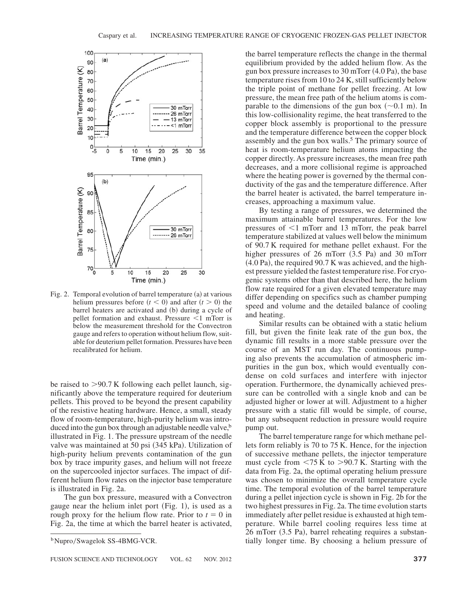

Fig. 2. Temporal evolution of barrel temperature  $(a)$  at various helium pressures before  $(t < 0)$  and after  $(t > 0)$  the barrel heaters are activated and (b) during a cycle of pellet formation and exhaust. Pressure  $\leq 1$  mTorr is below the measurement threshold for the Convectron gauge and refers to operation without helium flow, suitable for deuterium pellet formation. Pressures have been recalibrated for helium.

be raised to  $>90.7$  K following each pellet launch, significantly above the temperature required for deuterium pellets. This proved to be beyond the present capability of the resistive heating hardware. Hence, a small, steady flow of room-temperature, high-purity helium was introduced into the gun box through an adjustable needle valve, $\bar{b}$ illustrated in Fig. 1. The pressure upstream of the needle valve was maintained at 50 psi  $(345 \text{ kPa})$ . Utilization of high-purity helium prevents contamination of the gun box by trace impurity gases, and helium will not freeze on the supercooled injector surfaces. The impact of different helium flow rates on the injector base temperature is illustrated in Fig. 2a.

The gun box pressure, measured with a Convectron gauge near the helium inlet port  $(Fig. 1)$ , is used as a rough proxy for the helium flow rate. Prior to  $t = 0$  in Fig. 2a, the time at which the barrel heater is activated,

the barrel temperature reflects the change in the thermal equilibrium provided by the added helium flow. As the gun box pressure increases to  $30 \text{ mTorr} (4.0 \text{ Pa})$ , the base temperature rises from 10 to 24 K, still sufficiently below the triple point of methane for pellet freezing. At low pressure, the mean free path of the helium atoms is comparable to the dimensions of the gun box  $(\sim 0.1 \text{ m})$ . In this low-collisionality regime, the heat transferred to the copper block assembly is proportional to the pressure and the temperature difference between the copper block assembly and the gun box walls.<sup>5</sup> The primary source of heat is room-temperature helium atoms impacting the copper directly. As pressure increases, the mean free path decreases, and a more collisional regime is approached where the heating power is governed by the thermal conductivity of the gas and the temperature difference. After the barrel heater is activated, the barrel temperature increases, approaching a maximum value.

By testing a range of pressures, we determined the maximum attainable barrel temperatures. For the low pressures of  $\leq 1$  mTorr and 13 mTorr, the peak barrel temperature stabilized at values well below the minimum of 90.7 K required for methane pellet exhaust. For the higher pressures of  $26$  mTorr  $(3.5 \text{ Pa})$  and  $30$  mTorr  $(4.0 \text{ Pa})$ , the required 90.7 K was achieved, and the highest pressure yielded the fastest temperature rise. For cryogenic systems other than that described here, the helium flow rate required for a given elevated temperature may differ depending on specifics such as chamber pumping speed and volume and the detailed balance of cooling and heating.

Similar results can be obtained with a static helium fill, but given the finite leak rate of the gun box, the dynamic fill results in a more stable pressure over the course of an MST run day. The continuous pumping also prevents the accumulation of atmospheric impurities in the gun box, which would eventually condense on cold surfaces and interfere with injector operation. Furthermore, the dynamically achieved pressure can be controlled with a single knob and can be adjusted higher or lower at will. Adjustment to a higher pressure with a static fill would be simple, of course, but any subsequent reduction in pressure would require pump out.

The barrel temperature range for which methane pellets form reliably is 70 to 75 K. Hence, for the injection of successive methane pellets, the injector temperature must cycle from  $\langle 75 \text{ K} \times 90.7 \text{ K} \rangle$ . Starting with the data from Fig. 2a, the optimal operating helium pressure was chosen to minimize the overall temperature cycle time. The temporal evolution of the barrel temperature during a pellet injection cycle is shown in Fig. 2b for the two highest pressures in Fig. 2a. The time evolution starts immediately after pellet residue is exhausted at high temperature. While barrel cooling requires less time at  $26$  mTorr  $(3.5 \text{ Pa})$ , barrel reheating requires a substan-<sup>b</sup>Nupro/Swagelok SS-4BMG-VCR. thirdly longer time. By choosing a helium pressure of